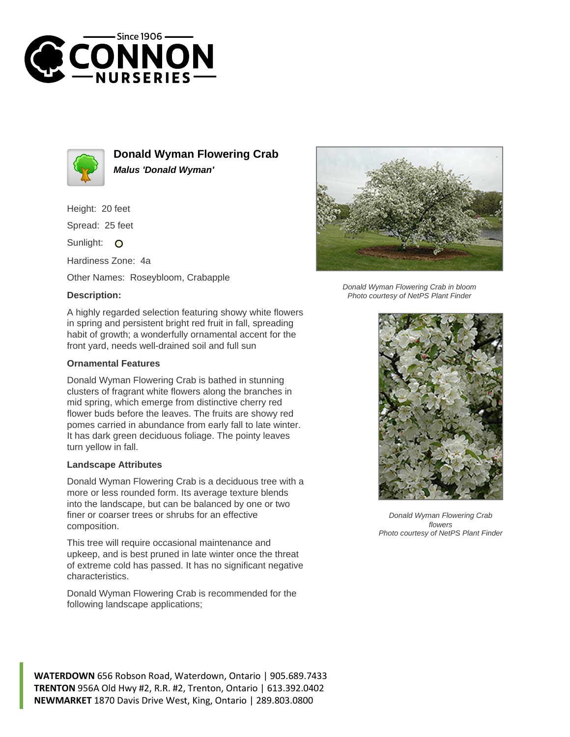



**Donald Wyman Flowering Crab Malus 'Donald Wyman'**

Height: 20 feet

Spread: 25 feet

Sunlight: O

Hardiness Zone: 4a

Other Names: Roseybloom, Crabapple

## **Description:**

A highly regarded selection featuring showy white flowers in spring and persistent bright red fruit in fall, spreading habit of growth; a wonderfully ornamental accent for the front yard, needs well-drained soil and full sun

## **Ornamental Features**

Donald Wyman Flowering Crab is bathed in stunning clusters of fragrant white flowers along the branches in mid spring, which emerge from distinctive cherry red flower buds before the leaves. The fruits are showy red pomes carried in abundance from early fall to late winter. It has dark green deciduous foliage. The pointy leaves turn yellow in fall.

## **Landscape Attributes**

Donald Wyman Flowering Crab is a deciduous tree with a more or less rounded form. Its average texture blends into the landscape, but can be balanced by one or two finer or coarser trees or shrubs for an effective composition.

This tree will require occasional maintenance and upkeep, and is best pruned in late winter once the threat of extreme cold has passed. It has no significant negative characteristics.

Donald Wyman Flowering Crab is recommended for the following landscape applications;



Donald Wyman Flowering Crab in bloom Photo courtesy of NetPS Plant Finder



Donald Wyman Flowering Crab flowers Photo courtesy of NetPS Plant Finder

**WATERDOWN** 656 Robson Road, Waterdown, Ontario | 905.689.7433 **TRENTON** 956A Old Hwy #2, R.R. #2, Trenton, Ontario | 613.392.0402 **NEWMARKET** 1870 Davis Drive West, King, Ontario | 289.803.0800